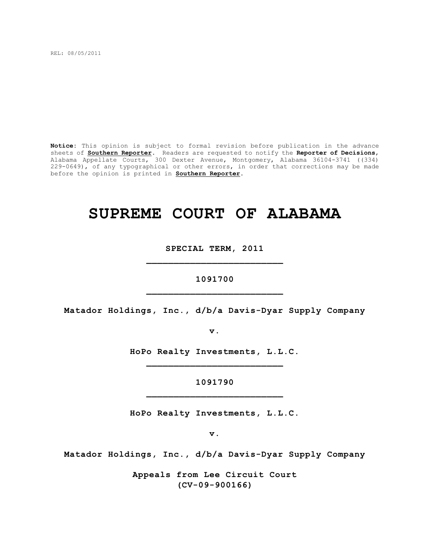REL: 08/05/2011

**Notice:** This opinion is subject to formal revision before publication in the advance sheets of **Southern Reporter**. Readers are requested to notify the **Reporter of Decisions**, Alabama Appellate Courts, 300 Dexter Avenue, Montgomery, Alabama 36104-3741 ((334) 229-0649), of any typographical or other errors, in order that corrections may be made before the opinion is printed in **Southern Reporter**.

# **SUPREME COURT OF ALABAMA**

**SPECIAL TERM, 2011 \_\_\_\_\_\_\_\_\_\_\_\_\_\_\_\_\_\_\_\_\_\_\_\_\_**

**1091700 \_\_\_\_\_\_\_\_\_\_\_\_\_\_\_\_\_\_\_\_\_\_\_\_\_**

**Matador Holdings, Inc., d/b/a Davis-Dyar Supply Company**

**v.**

**HoPo Realty Investments, L.L.C. \_\_\_\_\_\_\_\_\_\_\_\_\_\_\_\_\_\_\_\_\_\_\_\_\_**

> **1091790 \_\_\_\_\_\_\_\_\_\_\_\_\_\_\_\_\_\_\_\_\_\_\_\_\_**

**HoPo Realty Investments, L.L.C.**

**v.**

**Matador Holdings, Inc., d/b/a Davis-Dyar Supply Company**

**Appeals from Lee Circuit Court (CV-09-900166)**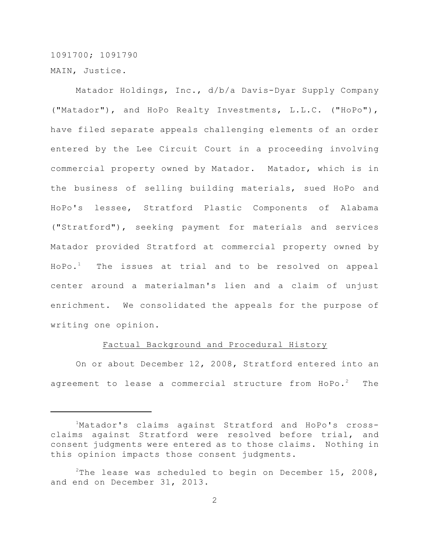1091700; 1091790 MAIN, Justice.

Matador Holdings, Inc., d/b/a Davis-Dyar Supply Company ("Matador"), and HoPo Realty Investments, L.L.C. ("HoPo"), have filed separate appeals challenging elements of an order entered by the Lee Circuit Court in a proceeding involving commercial property owned by Matador. Matador, which is in the business of selling building materials, sued HoPo and HoPo's lessee, Stratford Plastic Components of Alabama ("Stratford"), seeking payment for materials and services Matador provided Stratford at commercial property owned by  $HOPo.<sup>1</sup>$  The issues at trial and to be resolved on appeal center around a materialman's lien and a claim of unjust enrichment. We consolidated the appeals for the purpose of writing one opinion.

#### Factual Background and Procedural History

On or about December 12, 2008, Stratford entered into an agreement to lease a commercial structure from  $H\circ Po^{-2}$  The

<sup>&</sup>lt;sup>1</sup>Matador's claims against Stratford and HoPo's crossclaims against Stratford were resolved before trial, and consent judgments were entered as to those claims. Nothing in this opinion impacts those consent judgments.

<sup>&</sup>lt;sup>2</sup>The lease was scheduled to begin on December 15, 2008, and end on December 31, 2013.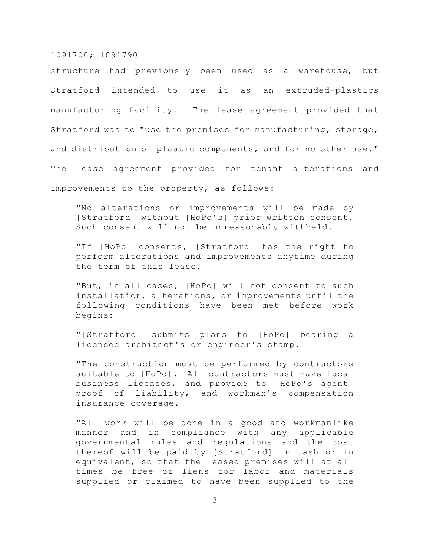structure had previously been used as a warehouse, but Stratford intended to use it as an extruded-plastics manufacturing facility. The lease agreement provided that Stratford was to "use the premises for manufacturing, storage, and distribution of plastic components, and for no other use." The lease agreement provided for tenant alterations and improvements to the property, as follows:

"No alterations or improvements will be made by [Stratford] without [HoPo's] prior written consent. Such consent will not be unreasonably withheld.

"If [HoPo] consents, [Stratford] has the right to perform alterations and improvements anytime during the term of this lease.

"But, in all cases, [HoPo] will not consent to such installation, alterations, or improvements until the following conditions have been met before work begins:

"[Stratford] submits plans to [HoPo] bearing a licensed architect's or engineer's stamp.

"The construction must be performed by contractors suitable to [HoPo]. All contractors must have local business licenses, and provide to [HoPo's agent] proof of liability, and workman's compensation insurance coverage.

"All work will be done in a good and workmanlike manner and in compliance with any applicable governmental rules and regulations and the cost thereof will be paid by [Stratford] in cash or in equivalent, so that the leased premises will at all times be free of liens for labor and materials supplied or claimed to have been supplied to the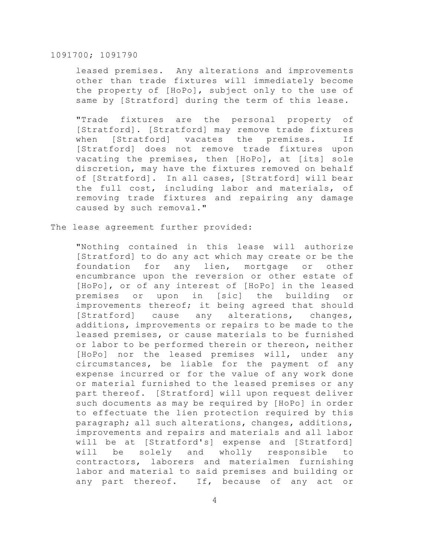leased premises. Any alterations and improvements other than trade fixtures will immediately become the property of [HoPo], subject only to the use of same by [Stratford] during the term of this lease.

"Trade fixtures are the personal property of [Stratford]. [Stratford] may remove trade fixtures when [Stratford] vacates the premises. If [Stratford] does not remove trade fixtures upon vacating the premises, then [HoPo], at [its] sole discretion, may have the fixtures removed on behalf of [Stratford]. In all cases, [Stratford] will bear the full cost, including labor and materials, of removing trade fixtures and repairing any damage caused by such removal."

The lease agreement further provided:

"Nothing contained in this lease will authorize [Stratford] to do any act which may create or be the foundation for any lien, mortgage or other encumbrance upon the reversion or other estate of [HoPo], or of any interest of [HoPo] in the leased premises or upon in [sic] the building or improvements thereof; it being agreed that should [Stratford] cause any alterations, changes, additions, improvements or repairs to be made to the leased premises, or cause materials to be furnished or labor to be performed therein or thereon, neither [HoPo] nor the leased premises will, under any circumstances, be liable for the payment of any expense incurred or for the value of any work done or material furnished to the leased premises or any part thereof. [Stratford] will upon request deliver such documents as may be required by [HoPo] in order to effectuate the lien protection required by this paragraph; all such alterations, changes, additions, improvements and repairs and materials and all labor will be at [Stratford's] expense and [Stratford] will be solely and wholly responsible to contractors, laborers and materialmen furnishing labor and material to said premises and building or any part thereof. If, because of any act or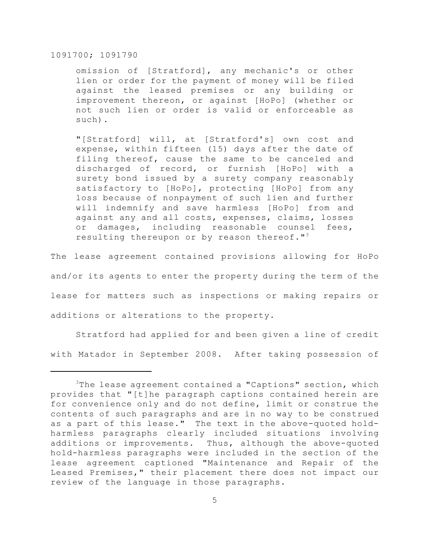omission of [Stratford], any mechanic's or other lien or order for the payment of money will be filed against the leased premises or any building or improvement thereon, or against [HoPo] (whether or not such lien or order is valid or enforceable as such).

"[Stratford] will, at [Stratford's] own cost and expense, within fifteen (15) days after the date of filing thereof, cause the same to be canceled and discharged of record, or furnish [HoPo] with a surety bond issued by a surety company reasonably satisfactory to [HoPo], protecting [HoPo] from any loss because of nonpayment of such lien and further will indemnify and save harmless [HoPo] from and against any and all costs, expenses, claims, losses or damages, including reasonable counsel fees, resulting thereupon or by reason thereof."<sup>3</sup>

The lease agreement contained provisions allowing for HoPo and/or its agents to enter the property during the term of the lease for matters such as inspections or making repairs or additions or alterations to the property.

Stratford had applied for and been given a line of credit with Matador in September 2008. After taking possession of

 $3$ The lease agreement contained a "Captions" section, which provides that "[t]he paragraph captions contained herein are for convenience only and do not define, limit or construe the contents of such paragraphs and are in no way to be construed as a part of this lease." The text in the above-quoted holdharmless paragraphs clearly included situations involving additions or improvements. Thus, although the above-quoted hold-harmless paragraphs were included in the section of the lease agreement captioned "Maintenance and Repair of the Leased Premises," their placement there does not impact our review of the language in those paragraphs.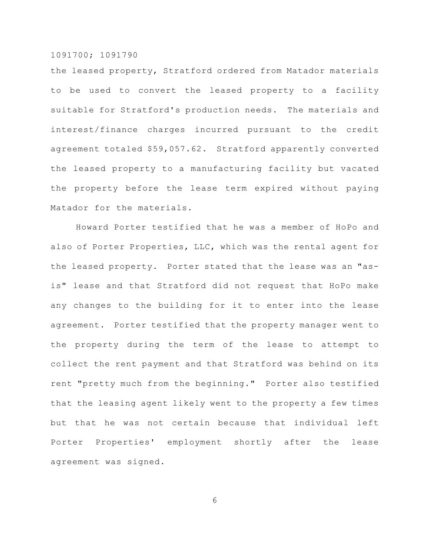the leased property, Stratford ordered from Matador materials to be used to convert the leased property to a facility suitable for Stratford's production needs. The materials and interest/finance charges incurred pursuant to the credit agreement totaled \$59,057.62. Stratford apparently converted the leased property to a manufacturing facility but vacated the property before the lease term expired without paying Matador for the materials.

Howard Porter testified that he was a member of HoPo and also of Porter Properties, LLC, which was the rental agent for the leased property. Porter stated that the lease was an "asis" lease and that Stratford did not request that HoPo make any changes to the building for it to enter into the lease agreement. Porter testified that the property manager went to the property during the term of the lease to attempt to collect the rent payment and that Stratford was behind on its rent "pretty much from the beginning." Porter also testified that the leasing agent likely went to the property a few times but that he was not certain because that individual left Porter Properties' employment shortly after the lease agreement was signed.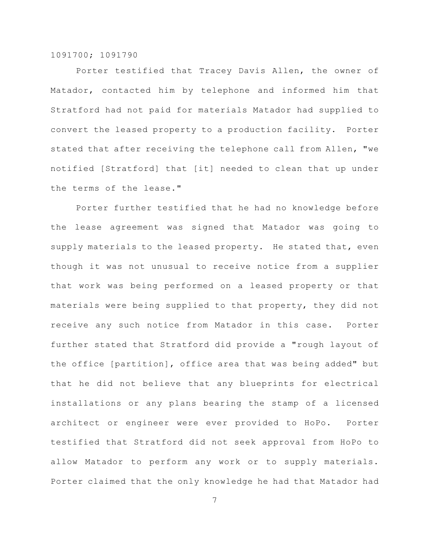Porter testified that Tracey Davis Allen, the owner of Matador, contacted him by telephone and informed him that Stratford had not paid for materials Matador had supplied to convert the leased property to a production facility. Porter stated that after receiving the telephone call from Allen, "we notified [Stratford] that [it] needed to clean that up under the terms of the lease."

Porter further testified that he had no knowledge before the lease agreement was signed that Matador was going to supply materials to the leased property. He stated that, even though it was not unusual to receive notice from a supplier that work was being performed on a leased property or that materials were being supplied to that property, they did not receive any such notice from Matador in this case. Porter further stated that Stratford did provide a "rough layout of the office [partition], office area that was being added" but that he did not believe that any blueprints for electrical installations or any plans bearing the stamp of a licensed architect or engineer were ever provided to HoPo. Porter testified that Stratford did not seek approval from HoPo to allow Matador to perform any work or to supply materials. Porter claimed that the only knowledge he had that Matador had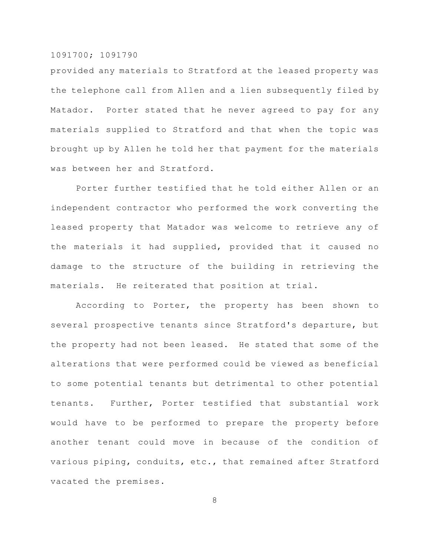provided any materials to Stratford at the leased property was the telephone call from Allen and a lien subsequently filed by Matador. Porter stated that he never agreed to pay for any materials supplied to Stratford and that when the topic was brought up by Allen he told her that payment for the materials was between her and Stratford.

Porter further testified that he told either Allen or an independent contractor who performed the work converting the leased property that Matador was welcome to retrieve any of the materials it had supplied, provided that it caused no damage to the structure of the building in retrieving the materials. He reiterated that position at trial.

According to Porter, the property has been shown to several prospective tenants since Stratford's departure, but the property had not been leased. He stated that some of the alterations that were performed could be viewed as beneficial to some potential tenants but detrimental to other potential tenants. Further, Porter testified that substantial work would have to be performed to prepare the property before another tenant could move in because of the condition of various piping, conduits, etc., that remained after Stratford vacated the premises.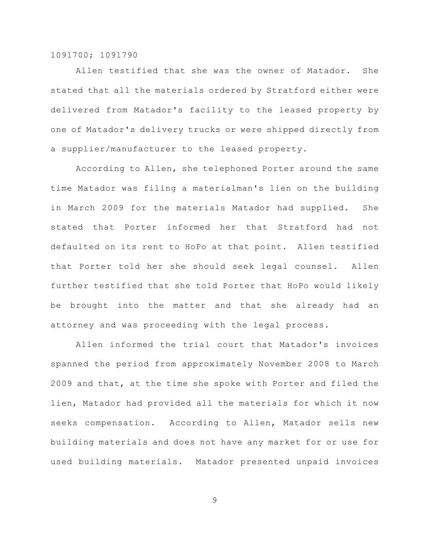Allen testified that she was the owner of Matador. She stated that all the materials ordered by Stratford either were delivered from Matador's facility to the leased property by one of Matador's delivery trucks or were shipped directly from a supplier/manufacturer to the leased property.

According to Allen, she telephoned Porter around the same time Matador was filing a materialman's lien on the building in March 2009 for the materials Matador had supplied. She stated that Porter informed her that Stratford had not defaulted on its rent to HoPo at that point. Allen testified that Porter told her she should seek legal counsel. Allen further testified that she told Porter that HoPo would likely be brought into the matter and that she already had an attorney and was proceeding with the legal process.

Allen informed the trial court that Matador's invoices spanned the period from approximately November 2008 to March 2009 and that, at the time she spoke with Porter and filed the lien, Matador had provided all the materials for which it now seeks compensation. According to Allen, Matador sells new building materials and does not have any market for or use for used building materials. Matador presented unpaid invoices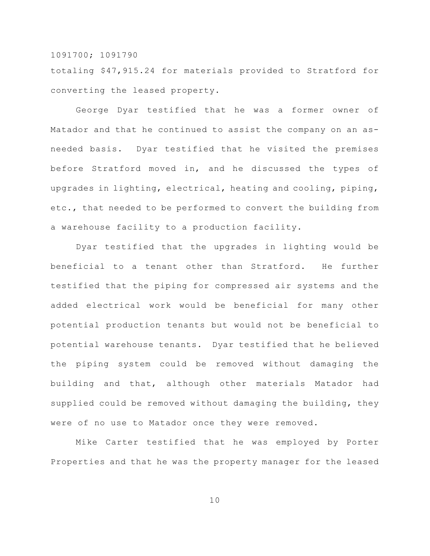totaling \$47,915.24 for materials provided to Stratford for converting the leased property.

George Dyar testified that he was a former owner of Matador and that he continued to assist the company on an asneeded basis. Dyar testified that he visited the premises before Stratford moved in, and he discussed the types of upgrades in lighting, electrical, heating and cooling, piping, etc., that needed to be performed to convert the building from a warehouse facility to a production facility.

Dyar testified that the upgrades in lighting would be beneficial to a tenant other than Stratford. He further testified that the piping for compressed air systems and the added electrical work would be beneficial for many other potential production tenants but would not be beneficial to potential warehouse tenants. Dyar testified that he believed the piping system could be removed without damaging the building and that, although other materials Matador had supplied could be removed without damaging the building, they were of no use to Matador once they were removed.

Mike Carter testified that he was employed by Porter Properties and that he was the property manager for the leased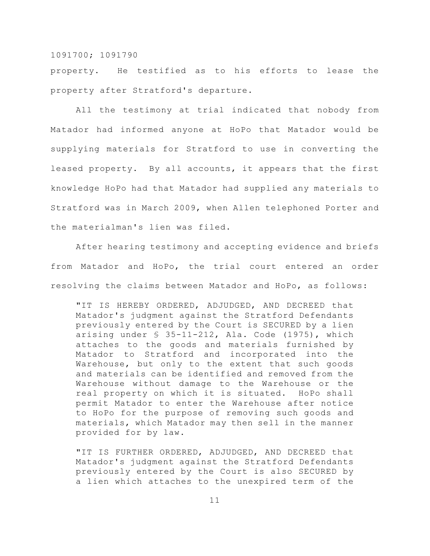property. He testified as to his efforts to lease the property after Stratford's departure.

All the testimony at trial indicated that nobody from Matador had informed anyone at HoPo that Matador would be supplying materials for Stratford to use in converting the leased property. By all accounts, it appears that the first knowledge HoPo had that Matador had supplied any materials to Stratford was in March 2009, when Allen telephoned Porter and the materialman's lien was filed.

After hearing testimony and accepting evidence and briefs from Matador and HoPo, the trial court entered an order resolving the claims between Matador and HoPo, as follows:

"IT IS HEREBY ORDERED, ADJUDGED, AND DECREED that Matador's judgment against the Stratford Defendants previously entered by the Court is SECURED by a lien arising under  $$35-11-212$ , Ala. Code (1975), which attaches to the goods and materials furnished by Matador to Stratford and incorporated into the Warehouse, but only to the extent that such goods and materials can be identified and removed from the Warehouse without damage to the Warehouse or the real property on which it is situated. HoPo shall permit Matador to enter the Warehouse after notice to HoPo for the purpose of removing such goods and materials, which Matador may then sell in the manner provided for by law.

"IT IS FURTHER ORDERED, ADJUDGED, AND DECREED that Matador's judgment against the Stratford Defendants previously entered by the Court is also SECURED by a lien which attaches to the unexpired term of the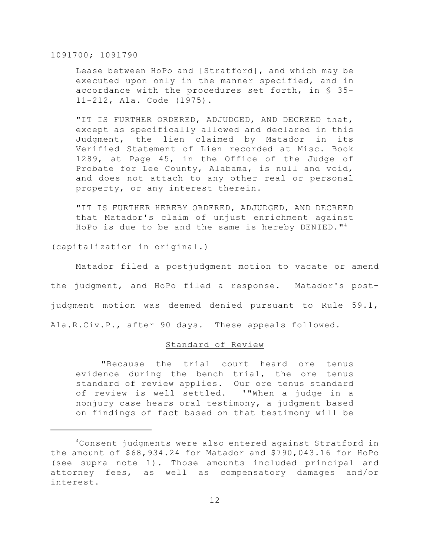Lease between HoPo and [Stratford], and which may be executed upon only in the manner specified, and in accordance with the procedures set forth, in § 35- 11-212, Ala. Code (1975).

"IT IS FURTHER ORDERED, ADJUDGED, AND DECREED that, except as specifically allowed and declared in this Judgment, the lien claimed by Matador in its Verified Statement of Lien recorded at Misc. Book 1289, at Page 45, in the Office of the Judge of Probate for Lee County, Alabama, is null and void, and does not attach to any other real or personal property, or any interest therein.

"IT IS FURTHER HEREBY ORDERED, ADJUDGED, AND DECREED that Matador's claim of unjust enrichment against HoPo is due to be and the same is hereby DENIED."<sup>4</sup>

(capitalization in original.)

Matador filed a postjudgment motion to vacate or amend the judgment, and HoPo filed a response. Matador's postjudgment motion was deemed denied pursuant to Rule 59.1, Ala.R.Civ.P., after 90 days. These appeals followed.

## Standard of Review

"Because the trial court heard ore tenus evidence during the bench trial, the ore tenus standard of review applies. Our ore tenus standard of review is well settled. '"When a judge in a nonjury case hears oral testimony, a judgment based on findings of fact based on that testimony will be

<sup>&</sup>lt;sup>4</sup>Consent judgments were also entered against Stratford in the amount of \$68,934.24 for Matador and \$790,043.16 for HoPo (see supra note 1). Those amounts included principal and attorney fees, as well as compensatory damages and/or interest.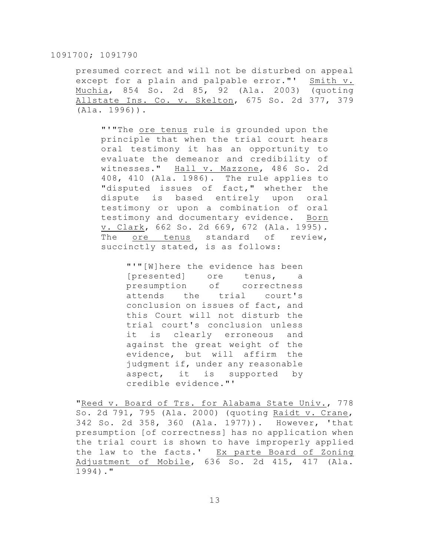presumed correct and will not be disturbed on appeal except for a plain and palpable error."' Smith v. Muchia, 854 So. 2d 85, 92 (Ala. 2003) (quoting Allstate Ins. Co. v. Skelton, 675 So. 2d 377, 379 (Ala. 1996)).

"'"The ore tenus rule is grounded upon the principle that when the trial court hears oral testimony it has an opportunity to evaluate the demeanor and credibility of witnesses." Hall v. Mazzone, 486 So. 2d 408, 410 (Ala. 1986). The rule applies to "disputed issues of fact," whether the dispute is based entirely upon oral testimony or upon a combination of oral testimony and documentary evidence. Born v. Clark, 662 So. 2d 669, 672 (Ala. 1995). The ore tenus standard of review, succinctly stated, is as follows:

> "'"[W]here the evidence has been [presented] ore tenus, a presumption of correctness attends the trial court's conclusion on issues of fact, and this Court will not disturb the trial court's conclusion unless it is clearly erroneous and against the great weight of the evidence, but will affirm the judgment if, under any reasonable aspect, it is supported by credible evidence."'

"Reed v. Board of Trs. for Alabama State Univ., 778 So. 2d 791, 795 (Ala. 2000) (quoting Raidt v. Crane, 342 So. 2d 358, 360 (Ala. 1977)). However, 'that presumption [of correctness] has no application when the trial court is shown to have improperly applied the law to the facts.' Ex parte Board of Zoning Adjustment of Mobile, 636 So. 2d 415, 417 (Ala. 1994)."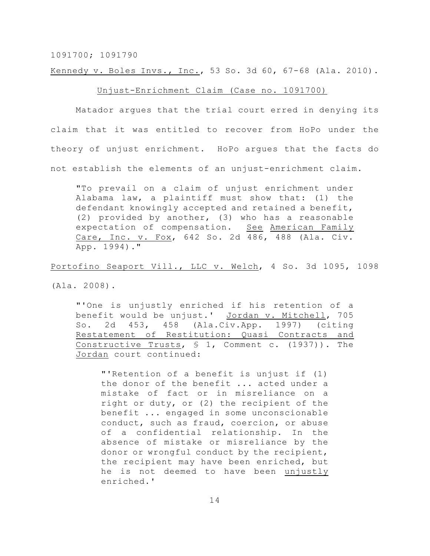Kennedy v. Boles Invs., Inc., 53 So. 3d 60, 67-68 (Ala. 2010).

## Unjust-Enrichment Claim (Case no. 1091700)

Matador argues that the trial court erred in denying its claim that it was entitled to recover from HoPo under the theory of unjust enrichment. HoPo argues that the facts do not establish the elements of an unjust-enrichment claim.

"To prevail on a claim of unjust enrichment under Alabama law, a plaintiff must show that: (1) the defendant knowingly accepted and retained a benefit, (2) provided by another, (3) who has a reasonable expectation of compensation. See American Family Care, Inc. v. Fox, 642 So. 2d 486, 488 (Ala. Civ. App. 1994)."

Portofino Seaport Vill., LLC v. Welch, 4 So. 3d 1095, 1098

(Ala. 2008).

"'One is unjustly enriched if his retention of a benefit would be unjust.' Jordan v. Mitchell, 705 So. 2d 453, 458 (Ala.Civ.App. 1997) (citing Restatement of Restitution: Quasi Contracts and Constructive Trusts, § 1, Comment c. (1937)). The Jordan court continued:

"'Retention of a benefit is unjust if (1) the donor of the benefit ... acted under a mistake of fact or in misreliance on a right or duty, or (2) the recipient of the benefit ... engaged in some unconscionable conduct, such as fraud, coercion, or abuse of a confidential relationship. In the absence of mistake or misreliance by the donor or wrongful conduct by the recipient, the recipient may have been enriched, but he is not deemed to have been unjustly enriched.'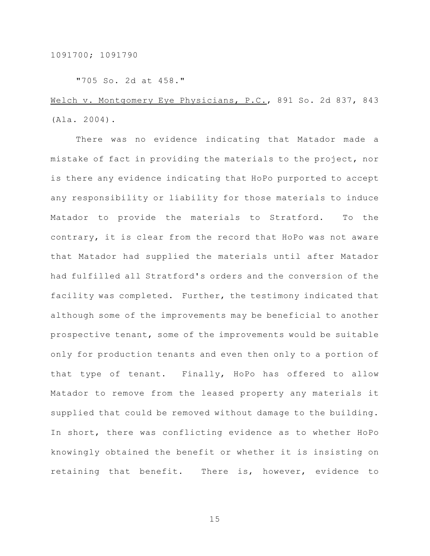"705 So. 2d at 458."

# Welch v. Montgomery Eye Physicians, P.C., 891 So. 2d 837, 843 (Ala. 2004).

There was no evidence indicating that Matador made a mistake of fact in providing the materials to the project, nor is there any evidence indicating that HoPo purported to accept any responsibility or liability for those materials to induce Matador to provide the materials to Stratford. To the contrary, it is clear from the record that HoPo was not aware that Matador had supplied the materials until after Matador had fulfilled all Stratford's orders and the conversion of the facility was completed. Further, the testimony indicated that although some of the improvements may be beneficial to another prospective tenant, some of the improvements would be suitable only for production tenants and even then only to a portion of that type of tenant. Finally, HoPo has offered to allow Matador to remove from the leased property any materials it supplied that could be removed without damage to the building. In short, there was conflicting evidence as to whether HoPo knowingly obtained the benefit or whether it is insisting on retaining that benefit. There is, however, evidence to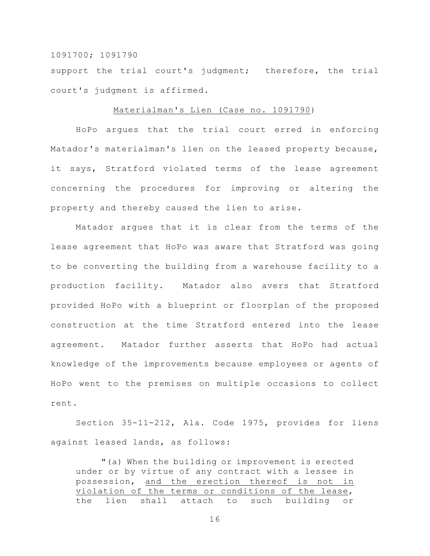support the trial court's judgment; therefore, the trial court's judgment is affirmed.

### Materialman's Lien (Case no. 1091790)

HoPo argues that the trial court erred in enforcing Matador's materialman's lien on the leased property because, it says, Stratford violated terms of the lease agreement concerning the procedures for improving or altering the property and thereby caused the lien to arise.

Matador argues that it is clear from the terms of the lease agreement that HoPo was aware that Stratford was going to be converting the building from a warehouse facility to a production facility. Matador also avers that Stratford provided HoPo with a blueprint or floorplan of the proposed construction at the time Stratford entered into the lease agreement. Matador further asserts that HoPo had actual knowledge of the improvements because employees or agents of HoPo went to the premises on multiple occasions to collect rent.

Section 35-11-212, Ala. Code 1975, provides for liens against leased lands, as follows:

"(a) When the building or improvement is erected under or by virtue of any contract with a lessee in possession, and the erection thereof is not in violation of the terms or conditions of the lease, the lien shall attach to such building or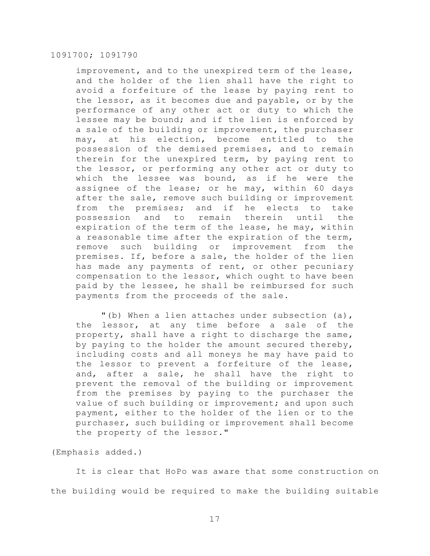improvement, and to the unexpired term of the lease, and the holder of the lien shall have the right to avoid a forfeiture of the lease by paying rent to the lessor, as it becomes due and payable, or by the performance of any other act or duty to which the lessee may be bound; and if the lien is enforced by a sale of the building or improvement, the purchaser may, at his election, become entitled to the possession of the demised premises, and to remain therein for the unexpired term, by paying rent to the lessor, or performing any other act or duty to which the lessee was bound, as if he were the assignee of the lease; or he may, within 60 days after the sale, remove such building or improvement from the premises; and if he elects to take possession and to remain therein until the expiration of the term of the lease, he may, within a reasonable time after the expiration of the term, remove such building or improvement from the premises. If, before a sale, the holder of the lien has made any payments of rent, or other pecuniary compensation to the lessor, which ought to have been paid by the lessee, he shall be reimbursed for such payments from the proceeds of the sale.

"(b) When a lien attaches under subsection (a), the lessor, at any time before a sale of the property, shall have a right to discharge the same, by paying to the holder the amount secured thereby, including costs and all moneys he may have paid to the lessor to prevent a forfeiture of the lease, and, after a sale, he shall have the right to prevent the removal of the building or improvement from the premises by paying to the purchaser the value of such building or improvement; and upon such payment, either to the holder of the lien or to the purchaser, such building or improvement shall become the property of the lessor."

(Emphasis added.)

It is clear that HoPo was aware that some construction on the building would be required to make the building suitable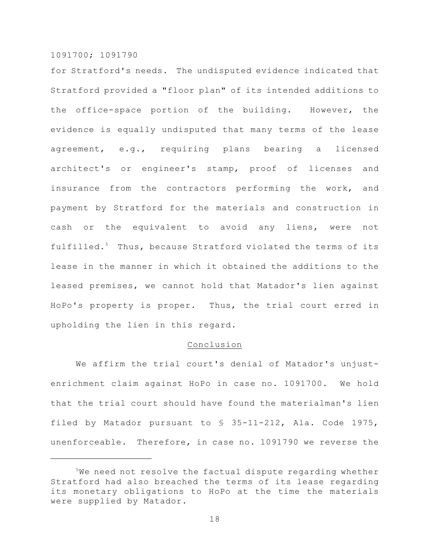for Stratford's needs. The undisputed evidence indicated that Stratford provided a "floor plan" of its intended additions to the office-space portion of the building. However, the evidence is equally undisputed that many terms of the lease agreement, e.g., requiring plans bearing a licensed architect's or engineer's stamp, proof of licenses and insurance from the contractors performing the work, and payment by Stratford for the materials and construction in cash or the equivalent to avoid any liens, were not fulfilled.<sup>5</sup> Thus, because Stratford violated the terms of its lease in the manner in which it obtained the additions to the leased premises, we cannot hold that Matador's lien against HoPo's property is proper. Thus, the trial court erred in upholding the lien in this regard.

#### Conclusion

We affirm the trial court's denial of Matador's unjustenrichment claim against HoPo in case no. 1091700. We hold that the trial court should have found the materialman's lien filed by Matador pursuant to § 35-11-212, Ala. Code 1975, unenforceable. Therefore, in case no. 1091790 we reverse the

 $5$ We need not resolve the factual dispute regarding whether Stratford had also breached the terms of its lease regarding its monetary obligations to HoPo at the time the materials were supplied by Matador.